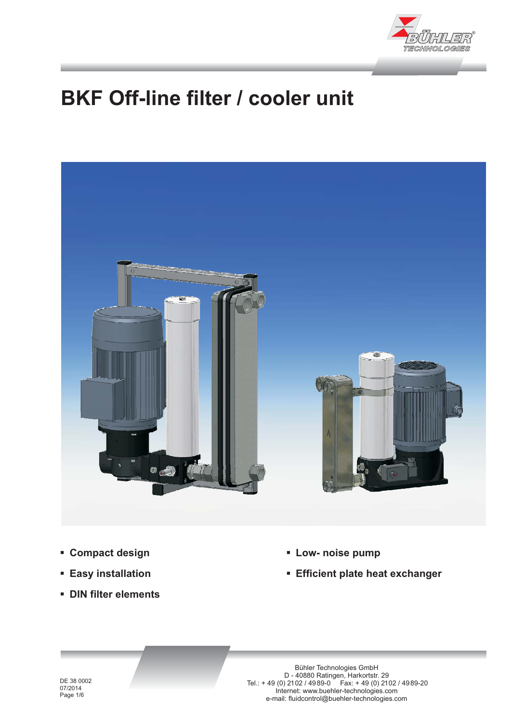

# **BKF Off-line filter / cooler unit**



- **Compact design**
- **Easy installation**
- **DIN filter elements**
- **Low- noise pump**
- **Efficient plate heat exchanger**

DE 38 0002 07/2014 Page 1/6

Bühler Technologies GmbH D - 40880 Ratingen, Harkortstr. 29 Tel.: + 49 (0) 2102 / 4989-0 Fax: + 49 (0) 2102 / 4989-20 Internet: www.buehler-technologies.com e-mail: fluidcontrol@buehler-technologies.com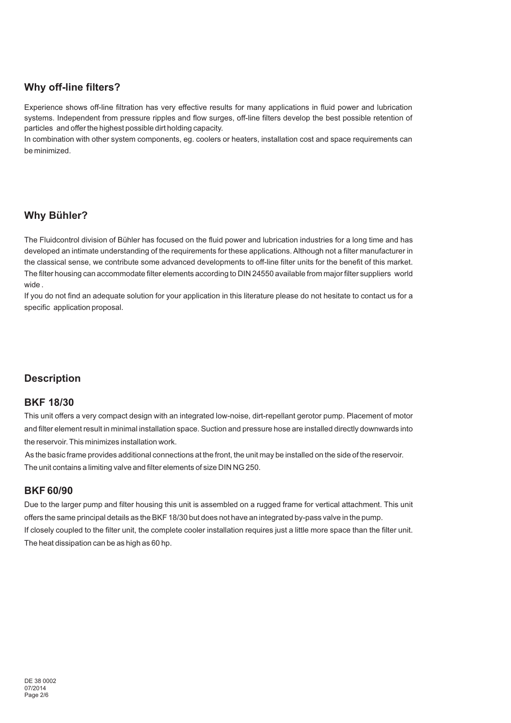# **Why off-line filters?**

Experience shows off-line filtration has very effective results for many applications in fluid power and lubrication systems. Independent from pressure ripples and flow surges, off-line filters develop the best possible retention of particles and offer the highest possible dirt holding capacity.

In combination with other system components, eg. coolers or heaters, installation cost and space requirements can be minimized.

# **Why Bühler?**

The Fluidcontrol division of Bühler has focused on the fluid power and lubrication industries for a long time and has developed an intimate understanding of the requirements for these applications. Although not a filter manufacturer in the classical sense, we contribute some advanced developments to off-line filter units for the benefit of this market. The filter housing can accommodate filter elements according to DIN 24550 available from major filter suppliers world wide .

If you do not find an adequate solution for your application in this literature please do not hesitate to contact us for a specific application proposal.

# **Description**

## **BKF 18/30**

This unit offers a very compact design with an integrated low-noise, dirt-repellant gerotor pump. Placement of motor and filter element result in minimal installation space. Suction and pressure hose are installed directly downwards into the reservoir. This minimizes installation work.

As the basic frame provides additional connections at the front, the unit may be installed on the side of the reservoir. The unit contains a limiting valve and filter elements of size DIN NG 250.

# **BKF 60/90**

If closely coupled to the filter unit, the complete cooler installation requires just a little more space than the filter unit. The heat dissipation can be as high as 60 hp. Due to the larger pump and filter housing this unit is assembled on a rugged frame for vertical attachment. This unit offers the same principal details as the BKF 18/30 but does not have an integrated by-pass valve in the pump.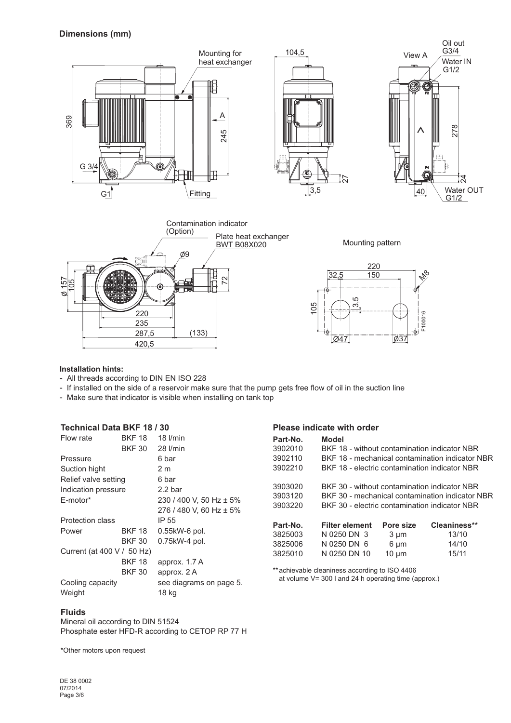

#### **Installation hints:**

- All threads according to DIN EN ISO 228
- If installed on the side of a reservoir make sure that the pump gets free flow of oil in the suction line

- Make sure that indicator is visible when installing on tank top

# **Technical Data BKF 18 / 30**

| Flow rate                     | BKF 18        | $18$ $l/min$            |  |  |  |
|-------------------------------|---------------|-------------------------|--|--|--|
|                               | <b>BKF 30</b> | $28$ $l/min$            |  |  |  |
| Pressure                      |               | 6 bar                   |  |  |  |
| Suction hight                 |               | 2 m                     |  |  |  |
| Relief valve setting          |               | 6 bar                   |  |  |  |
| Indication pressure           |               | 2.2 <sub>bar</sub>      |  |  |  |
| E-motor*                      |               | 230 / 400 V, 50 Hz ± 5% |  |  |  |
|                               |               | 276 / 480 V, 60 Hz ± 5% |  |  |  |
| Protection class              |               | IP 55                   |  |  |  |
| Power                         | <b>BKF 18</b> | $0.55$ kW-6 pol.        |  |  |  |
|                               | BKF 30        | 0.75kW-4 pol.           |  |  |  |
| Current (at $400 V / 50 Hz$ ) |               |                         |  |  |  |
|                               | <b>BKF 18</b> | approx. 1.7 A           |  |  |  |
|                               | <b>BKF 30</b> | approx. 2 A             |  |  |  |
| Cooling capacity              |               | see diagrams on page 5. |  |  |  |
| Weight                        |               | 18 kg                   |  |  |  |

#### **Please indicate with order**

| Part-No.<br>3902010<br>3902110<br>3902210 | Model<br>BKF 18 - without contamination indicator NBR<br>BKF 18 - mechanical contamination indicator NBR<br>BKF 18 - electric contamination indicator NBR |            |              |  |  |
|-------------------------------------------|-----------------------------------------------------------------------------------------------------------------------------------------------------------|------------|--------------|--|--|
| 3903020<br>3903120                        | BKF 30 - without contamination indicator NBR<br>BKF 30 - mechanical contamination indicator NBR                                                           |            |              |  |  |
| 3903220                                   | BKF 30 - electric contamination indicator NBR                                                                                                             |            |              |  |  |
| Part-No.                                  | <b>Filter element</b>                                                                                                                                     | Pore size  | Cleaniness** |  |  |
| 3825003                                   | N 0250 DN 3                                                                                                                                               | 3 µm       | 13/10        |  |  |
| 3825006                                   | N 0250 DN 6                                                                                                                                               | 6 µm       | 14/10        |  |  |
| 3825010                                   | N 0250 DN 10                                                                                                                                              | $10 \mu m$ | 15/11        |  |  |

\*\*achievable cleaniness according to ISO 4406 at volume V= 300 l and 24 h operating time (approx.)

#### **Fluids**

Mineral oil according to DIN 51524 Phosphate ester HFD-R according to CETOP RP 77 H

\*Other motors upon request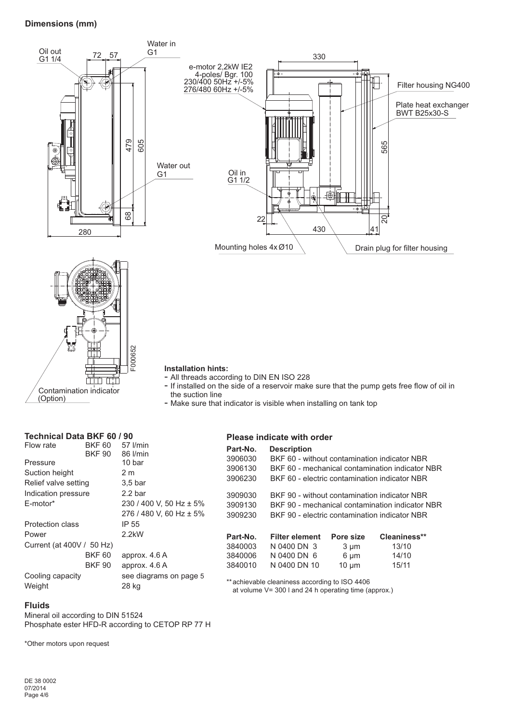## **Dimensions (mm)**



Contamination indicator (Option)

# **Technical Data BKF 60 / 90**

| Flow rate                 | <b>BKF 60</b> | 57 l/min                |  |
|---------------------------|---------------|-------------------------|--|
|                           | <b>BKF 90</b> | 86 l/min                |  |
| Pressure                  |               | 10 bar                  |  |
| Suction height            |               | 2 m                     |  |
| Relief valve setting      |               | 3.5 <sub>bar</sub>      |  |
| Indication pressure       |               | 2.2 <sub>bar</sub>      |  |
| E-motor*                  |               | 230 / 400 V, 50 Hz ± 5% |  |
|                           |               | 276 / 480 V, 60 Hz ± 5% |  |
| Protection class          |               | IP 55                   |  |
| Power                     |               | $2.2$ k $W$             |  |
| Current (at 400V / 50 Hz) |               |                         |  |
|                           | <b>BKF 60</b> | approx. 4.6 A           |  |
|                           | <b>BKF 90</b> | approx. 4.6 A           |  |
| Cooling capacity          |               | see diagrams on page 5  |  |
| Weight                    |               | 28 kg                   |  |
|                           |               |                         |  |

# **Please indicate with order**

- Make sure that indicator is visible when installing on tank top

the suction line

| Part-No. | <b>Description</b>                              |            |              |  |  |
|----------|-------------------------------------------------|------------|--------------|--|--|
| 3906030  | BKF 60 - without contamination indicator NBR    |            |              |  |  |
| 3906130  | BKF 60 - mechanical contamination indicator NBR |            |              |  |  |
| 3906230  | BKF 60 - electric contamination indicator NBR   |            |              |  |  |
| 3909030  | BKF 90 - without contamination indicator NBR    |            |              |  |  |
| 3909130  | BKF 90 - mechanical contamination indicator NBR |            |              |  |  |
| 3909230  | BKF 90 - electric contamination indicator NBR   |            |              |  |  |
| Part-No. | <b>Filter element</b>                           | Pore size  | Cleaniness** |  |  |
| 3840003  | N 0400 DN 3                                     | $3 \mu m$  | 13/10        |  |  |
| 3840006  | N 0400 DN 6                                     | 6 µm       | 14/10        |  |  |
| 3840010  | N 0400 DN 10                                    | $10 \mu m$ | 15/11        |  |  |
|          |                                                 |            |              |  |  |

\*\*achievable cleaniness according to ISO 4406 at volume V= 300 l and 24 h operating time (approx.)

#### **Fluids**

Mineral oil according to DIN 51524 Phosphate ester HFD-R according to CETOP RP 77 H

\*Other motors upon request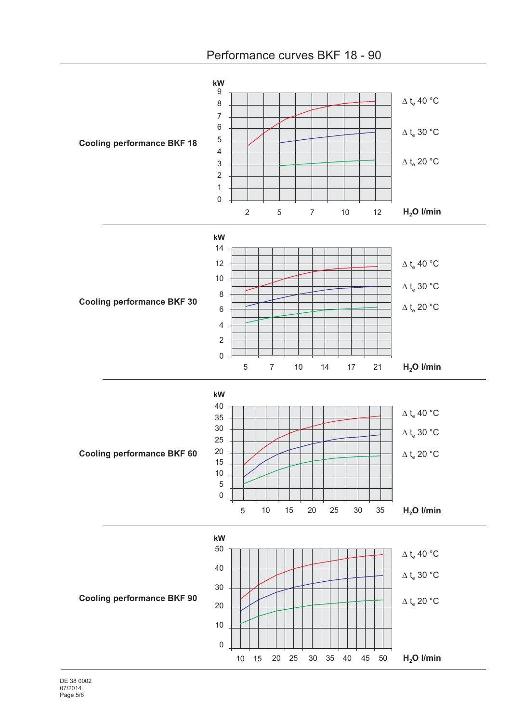